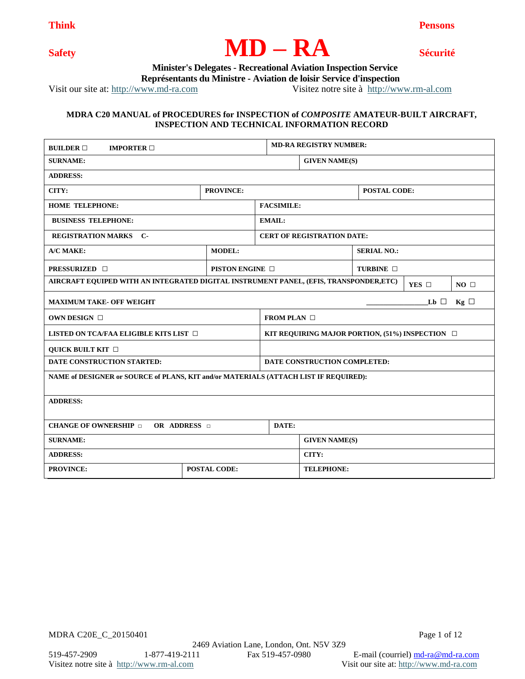

 **Minister's Delegates - Recreational Aviation Inspection Service**

 **Représentants du Ministre - Aviation de loisir Service d'inspection**

Visit our site at: [http://www.md-ra.com](http://www.md-ra.com/) Visitez notre site à [http://www.rm-al.com](http://www.rm-al.com/)

### **MDRA C20 MANUAL of PROCEDURES for INSPECTION of** *COMPOSITE* **AMATEUR-BUILT AIRCRAFT, INSPECTION AND TECHNICAL INFORMATION RECORD**

| <b>BUILDER</b> $\Box$<br><b>IMPORTER</b> $\Box$                                       |                             | <b>MD-RA REGISTRY NUMBER:</b> |                                                         |                     |                |                |
|---------------------------------------------------------------------------------------|-----------------------------|-------------------------------|---------------------------------------------------------|---------------------|----------------|----------------|
| <b>SURNAME:</b>                                                                       |                             | <b>GIVEN NAME(S)</b>          |                                                         |                     |                |                |
| <b>ADDRESS:</b>                                                                       |                             |                               |                                                         |                     |                |                |
| CITY:                                                                                 | <b>PROVINCE:</b>            |                               |                                                         | <b>POSTAL CODE:</b> |                |                |
| <b>HOME TELEPHONE:</b>                                                                |                             | <b>FACSIMILE:</b>             |                                                         |                     |                |                |
| <b>BUSINESS TELEPHONE:</b>                                                            |                             | <b>EMAIL:</b>                 |                                                         |                     |                |                |
| <b>REGISTRATION MARKS C-</b>                                                          |                             |                               | <b>CERT OF REGISTRATION DATE:</b>                       |                     |                |                |
| A/C MAKE:                                                                             | <b>MODEL:</b>               |                               |                                                         | <b>SERIAL NO.:</b>  |                |                |
| <b>PRESSURIZED</b> □                                                                  | <b>PISTON ENGINE</b> $\Box$ |                               |                                                         | TURBINE $\Box$      |                |                |
| AIRCRAFT EQUIPED WITH AN INTEGRATED DIGITAL INSTRUMENT PANEL, (EFIS, TRANSPONDER,ETC) |                             |                               |                                                         |                     | YES $\Box$     | $NO \Box$      |
| <b>MAXIMUM TAKE- OFF WEIGHT</b>                                                       |                             |                               |                                                         |                     | $Lb$ $\square$ | $Kg$ $\square$ |
| OWN DESIGN □                                                                          |                             | FROM PLAN $\Box$              |                                                         |                     |                |                |
| LISTED ON TCA/FAA ELIGIBLE KITS LIST $\Box$                                           |                             |                               | KIT REQUIRING MAJOR PORTION, $(51\%)$ INSPECTION $\Box$ |                     |                |                |
| <b>QUICK BUILT KIT</b>                                                                |                             |                               |                                                         |                     |                |                |
| DATE CONSTRUCTION STARTED:                                                            |                             |                               | DATE CONSTRUCTION COMPLETED:                            |                     |                |                |
| NAME of DESIGNER or SOURCE of PLANS, KIT and/or MATERIALS (ATTACH LIST IF REQUIRED):  |                             |                               |                                                         |                     |                |                |
| <b>ADDRESS:</b>                                                                       |                             |                               |                                                         |                     |                |                |
| DATE:<br><b>CHANGE OF OWNERSHIP</b><br>OR ADDRESS <b>D</b>                            |                             |                               |                                                         |                     |                |                |
| <b>SURNAME:</b>                                                                       |                             |                               | <b>GIVEN NAME(S)</b>                                    |                     |                |                |
| <b>ADDRESS:</b>                                                                       |                             | CITY:                         |                                                         |                     |                |                |
| <b>PROVINCE:</b>                                                                      | <b>POSTAL CODE:</b>         |                               | <b>TELEPHONE:</b>                                       |                     |                |                |

Visitez notre site à [http://www.rm-al.com](http://www.rm-al.com/) Visit our site at: [http://www.md-ra.com](http://www.md-ra.com/)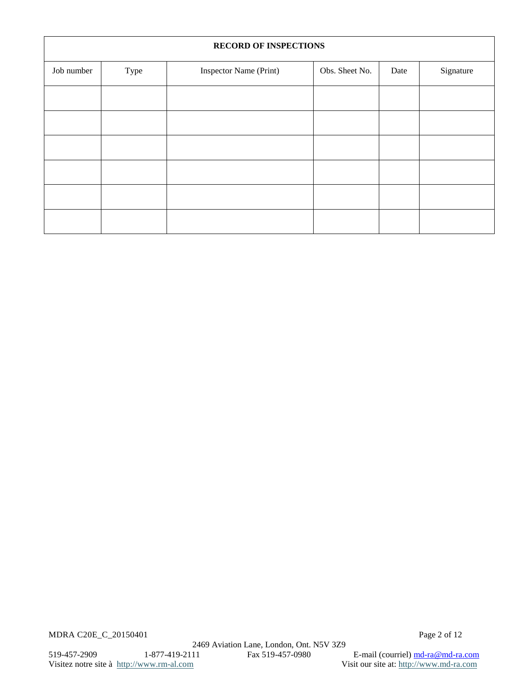| <b>RECORD OF INSPECTIONS</b> |      |                        |                |      |           |
|------------------------------|------|------------------------|----------------|------|-----------|
| Job number                   | Type | Inspector Name (Print) | Obs. Sheet No. | Date | Signature |
|                              |      |                        |                |      |           |
|                              |      |                        |                |      |           |
|                              |      |                        |                |      |           |
|                              |      |                        |                |      |           |
|                              |      |                        |                |      |           |
|                              |      |                        |                |      |           |

Visitez notre site à http://www.rm-al.com

519-457-2909 1-877-419-2111 Fax 519-457-0980 E-mail (courriel)  $\frac{md-ra.com}{md-ra.com}$ <br>Visit cur site at:  $\frac{http://www.m-al.com}{mt-ra.com}$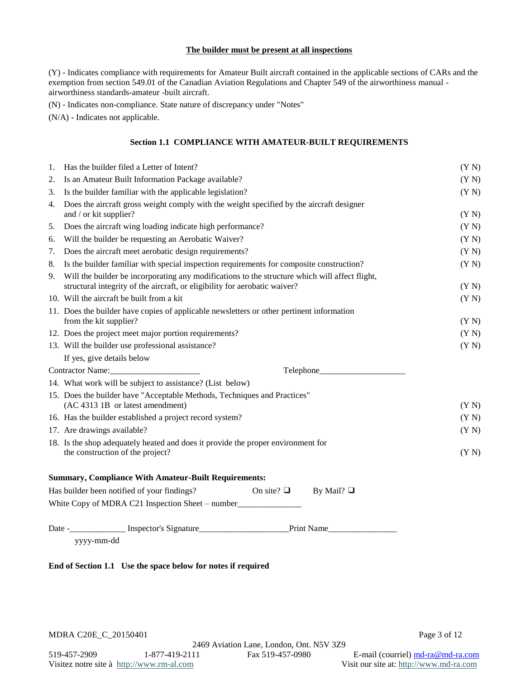#### **The builder must be present at all inspections**

(Y) - Indicates compliance with requirements for Amateur Built aircraft contained in the applicable sections of CARs and the exemption from section 549.01 of the Canadian Aviation Regulations and Chapter 549 of the airworthiness manual airworthiness standards-amateur -built aircraft.

(N) - Indicates non-compliance. State nature of discrepancy under "Notes"

(N/A) - Indicates not applicable.

#### **Section 1.1 COMPLIANCE WITH AMATEUR-BUILT REQUIREMENTS**

| 1. | Has the builder filed a Letter of Intent?                                                                                                                                    | (Y N) |
|----|------------------------------------------------------------------------------------------------------------------------------------------------------------------------------|-------|
| 2. | Is an Amateur Built Information Package available?                                                                                                                           | (Y N) |
| 3. | Is the builder familiar with the applicable legislation?                                                                                                                     | (Y N) |
| 4. | Does the aircraft gross weight comply with the weight specified by the aircraft designer<br>and / or kit supplier?                                                           | (Y N) |
| 5. | Does the aircraft wing loading indicate high performance?                                                                                                                    | (Y N) |
| 6. | Will the builder be requesting an Aerobatic Waiver?                                                                                                                          | (Y N) |
| 7. | Does the aircraft meet aerobatic design requirements?                                                                                                                        | (Y N) |
| 8. | Is the builder familiar with special inspection requirements for composite construction?                                                                                     | (Y N) |
| 9. | Will the builder be incorporating any modifications to the structure which will affect flight,<br>structural integrity of the aircraft, or eligibility for aerobatic waiver? | (Y N) |
|    | 10. Will the aircraft be built from a kit                                                                                                                                    | (Y N) |
|    | 11. Does the builder have copies of applicable newsletters or other pertinent information<br>from the kit supplier?                                                          | (Y N) |
|    | 12. Does the project meet major portion requirements?                                                                                                                        | (Y N) |
|    | 13. Will the builder use professional assistance?                                                                                                                            | (Y N) |
|    | If yes, give details below                                                                                                                                                   |       |
|    |                                                                                                                                                                              |       |
|    | 14. What work will be subject to assistance? (List below)                                                                                                                    |       |
|    | 15. Does the builder have "Acceptable Methods, Techniques and Practices"<br>(AC 4313 1B or latest amendment)                                                                 | (Y N) |
|    | 16. Has the builder established a project record system?                                                                                                                     | (Y N) |
|    | 17. Are drawings available?                                                                                                                                                  | (Y N) |
|    | 18. Is the shop adequately heated and does it provide the proper environment for<br>the construction of the project?                                                         | (Y N) |
|    | <b>Summary, Compliance With Amateur-Built Requirements:</b>                                                                                                                  |       |
|    | Has builder been notified of your findings?<br>On site? $\Box$<br>By Mail? $\Box$                                                                                            |       |
|    | White Copy of MDRA C21 Inspection Sheet – number                                                                                                                             |       |
|    |                                                                                                                                                                              |       |
|    | yyyy-mm-dd                                                                                                                                                                   |       |

### **End of Section 1.1 Use the space below for notes if required**

Visitez notre site à [http://www.rm-al.com](http://www.rm-al.com/) Visit our site at: [http://www.md-ra.com](http://www.md-ra.com/)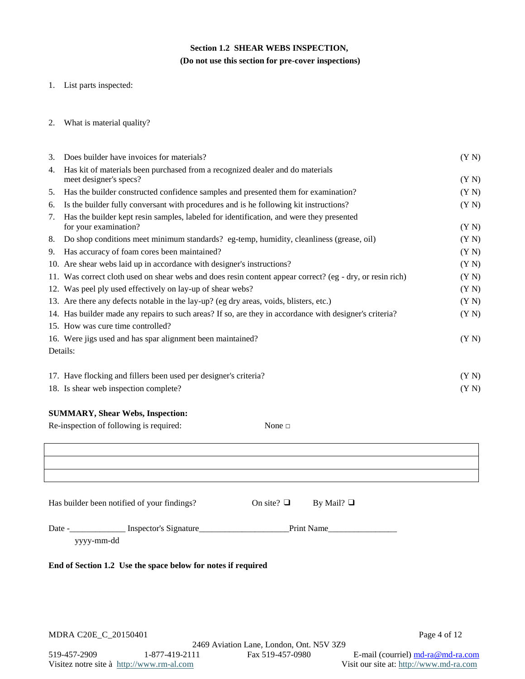# **Section 1.2 SHEAR WEBS INSPECTION, (Do not use this section for pre-cover inspections)**

- 1. List parts inspected:
- 2. What is material quality?

| 3. | Does builder have invoices for materials?                                                                        | (Y N) |
|----|------------------------------------------------------------------------------------------------------------------|-------|
| 4. | Has kit of materials been purchased from a recognized dealer and do materials                                    |       |
|    | meet designer's specs?                                                                                           | (Y N) |
| 5. | Has the builder constructed confidence samples and presented them for examination?                               | (Y N) |
| 6. | Is the builder fully conversant with procedures and is he following kit instructions?                            | (Y N) |
| 7. | Has the builder kept resin samples, labeled for identification, and were they presented<br>for your examination? | (Y N) |
| 8. | Do shop conditions meet minimum standards? eg-temp, humidity, cleanliness (grease, oil)                          | (Y N) |
| 9. | Has accuracy of foam cores been maintained?                                                                      | (YN)  |
|    | 10. Are shear webs laid up in accordance with designer's instructions?                                           | (Y N) |
|    | 11. Was correct cloth used on shear webs and does resin content appear correct? (eg - dry, or resin rich)        | (Y N) |
|    | 12. Was peel ply used effectively on lay-up of shear webs?                                                       | (Y N) |
|    | 13. Are there any defects notable in the lay-up? (eg dry areas, voids, blisters, etc.)                           | (Y N) |
|    | 14. Has builder made any repairs to such areas? If so, are they in accordance with designer's criteria?          | (Y N) |
|    | 15. How was cure time controlled?                                                                                |       |
|    | 16. Were jigs used and has spar alignment been maintained?                                                       | (Y N) |
|    | Details:                                                                                                         |       |
|    | 17. Have flocking and fillers been used per designer's criteria?                                                 | (Y N) |
|    | 18. Is shear web inspection complete?                                                                            | (Y N) |
|    | <b>SUMMARY, Shear Webs, Inspection:</b>                                                                          |       |
|    | Re-inspection of following is required:<br>None $\Box$                                                           |       |
|    |                                                                                                                  |       |
|    | Has builder been notified of your findings?<br>On site? $\Box$<br>By Mail? $\Box$                                |       |

Date -\_\_\_\_\_\_\_\_\_\_\_\_\_ Inspector's Signature\_\_\_\_\_\_\_\_\_\_\_\_\_\_\_\_\_\_\_\_\_Print Name\_\_\_\_\_\_\_\_\_\_\_\_\_\_\_\_

yyyy-mm-dd

### **End of Section 1.2 Use the space below for notes if required**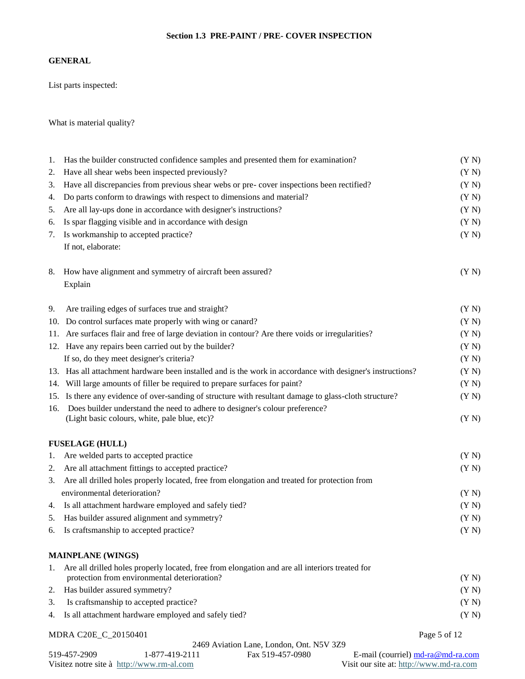## **Section 1.3 PRE-PAINT / PRE- COVER INSPECTION**

## **GENERAL**

List parts inspected:

What is material quality?

| 2. | Have all shear webs been inspected previously?                                                                                                 | (Y N)        |
|----|------------------------------------------------------------------------------------------------------------------------------------------------|--------------|
| 3. | Have all discrepancies from previous shear webs or pre- cover inspections been rectified?                                                      | (Y N)        |
| 4. | Do parts conform to drawings with respect to dimensions and material?                                                                          | (Y N)        |
| 5. | Are all lay-ups done in accordance with designer's instructions?                                                                               | (Y N)        |
| 6. | Is spar flagging visible and in accordance with design                                                                                         | (Y N)        |
| 7. | Is workmanship to accepted practice?                                                                                                           | (Y N)        |
|    | If not, elaborate:                                                                                                                             |              |
| 8. | How have alignment and symmetry of aircraft been assured?                                                                                      | (Y N)        |
|    | Explain                                                                                                                                        |              |
| 9. | Are trailing edges of surfaces true and straight?                                                                                              | (Y N)        |
|    | 10. Do control surfaces mate properly with wing or canard?                                                                                     | (Y N)        |
|    | 11. Are surfaces flair and free of large deviation in contour? Are there voids or irregularities?                                              | (Y N)        |
|    | 12. Have any repairs been carried out by the builder?                                                                                          | (Y N)        |
|    | If so, do they meet designer's criteria?                                                                                                       | (Y N)        |
|    | 13. Has all attachment hardware been installed and is the work in accordance with designer's instructions?                                     | (Y N)        |
|    | 14. Will large amounts of filler be required to prepare surfaces for paint?                                                                    | (Y N)        |
|    | 15. Is there any evidence of over-sanding of structure with resultant damage to glass-cloth structure?                                         | (Y N)        |
|    | 16. Does builder understand the need to adhere to designer's colour preference?<br>(Light basic colours, white, pale blue, etc)?               | (Y N)        |
|    | <b>FUSELAGE (HULL)</b>                                                                                                                         |              |
| 1. | Are welded parts to accepted practice                                                                                                          | (YN)         |
| 2. | Are all attachment fittings to accepted practice?                                                                                              | (Y N)        |
| 3. | Are all drilled holes properly located, free from elongation and treated for protection from                                                   |              |
|    | environmental deterioration?                                                                                                                   | (Y N)        |
| 4. | Is all attachment hardware employed and safely tied?                                                                                           | (Y N)        |
| 5. | Has builder assured alignment and symmetry?                                                                                                    | (Y N)        |
| 6. | Is craftsmanship to accepted practice?                                                                                                         | (Y N)        |
|    | <b>MAINPLANE (WINGS)</b>                                                                                                                       |              |
| 1. | Are all drilled holes properly located, free from elongation and are all interiors treated for<br>protection from environmental deterioration? | (Y N)        |
| 2. | Has builder assured symmetry?                                                                                                                  | (Y N)        |
| 3. | Is craftsmanship to accepted practice?                                                                                                         | (Y N)        |
| 4. | Is all attachment hardware employed and safely tied?                                                                                           | (Y N)        |
|    | MDRA C20E_C_20150401<br>2469 Aviation Lane, London, Ont. N5V 3Z9                                                                               | Page 5 of 12 |

|                                                     |                | $27071$ evidence Edge, Equipon, One For $927$ |                                         |
|-----------------------------------------------------|----------------|-----------------------------------------------|-----------------------------------------|
| 519-457-2909                                        | 1-877-419-2111 | Fax 519-457-0980                              | E-mail (courriel) $md-ra@md-ra.com$     |
| Visitez notre site à $\frac{http://www.rm-al.com}{$ |                |                                               | Visit our site at: http://www.md-ra.com |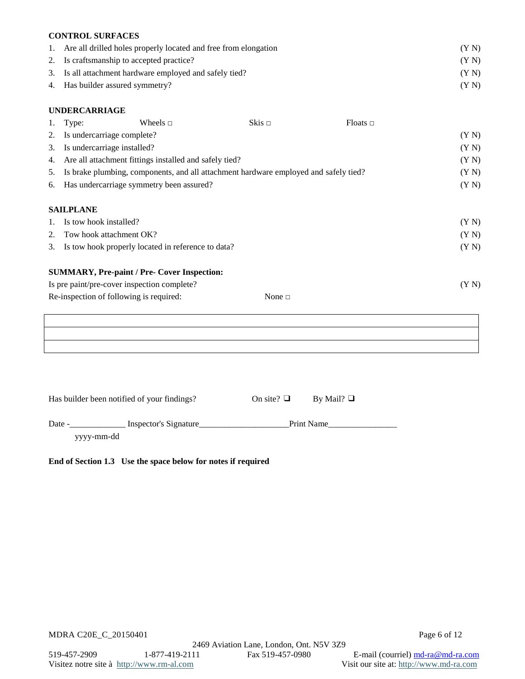## **CONTROL SURFACES**

| 1. Are all drilled holes properly located and free from elongation | (Y N) |
|--------------------------------------------------------------------|-------|
| 2. Is craftsmanship to accepted practice?                          | (YN)  |
| 3. Is all attachment hardware employed and safely tied?            | (YN)  |
| 4. Has builder assured symmetry?                                   | (YN)  |

#### **UNDERCARRIAGE**

| 1. | Type:                                                  | Wheels $\Box$ | Skis $\Box$                                                                          | $F$ loats $\Box$ |       |
|----|--------------------------------------------------------|---------------|--------------------------------------------------------------------------------------|------------------|-------|
| 2. | Is undercarriage complete?                             |               |                                                                                      |                  | (YN)  |
| 3. | Is undercarriage installed?                            |               |                                                                                      |                  | (Y N) |
| 4. | Are all attachment fittings installed and safely tied? |               |                                                                                      |                  | (Y N) |
| 5. |                                                        |               | Is brake plumbing, components, and all attachment hardware employed and safely tied? |                  | (YN)  |
| 6. | Has undercarriage symmetry been assured?               |               |                                                                                      |                  | (YN)  |
|    |                                                        |               |                                                                                      |                  |       |
|    | <b>SAILPLANE</b>                                       |               |                                                                                      |                  |       |
|    | Is tow hook installed?                                 |               |                                                                                      |                  | (YN)  |
| 2. | Tow hook attachment OK?                                |               |                                                                                      |                  | (Y N) |
| 3. | Is tow hook properly located in reference to data?     |               |                                                                                      |                  | (YN)  |
|    |                                                        |               |                                                                                      |                  |       |
|    | <b>SUMMARY, Pre-paint / Pre- Cover Inspection:</b>     |               |                                                                                      |                  |       |
|    | Is pre paint/pre-cover inspection complete?            |               |                                                                                      |                  | (YN)  |
|    | Re-inspection of following is required:                |               | None $\Box$                                                                          |                  |       |
|    |                                                        |               |                                                                                      |                  |       |
|    |                                                        |               |                                                                                      |                  |       |

| Has builder been notified of your findings? | On site? $\Box$ | By Mail? $\Box$ |
|---------------------------------------------|-----------------|-----------------|
| Inspector's Signature<br>Date -             |                 | Print Name      |
| yyyy-mm-dd                                  |                 |                 |

**End of Section 1.3 Use the space below for notes if required**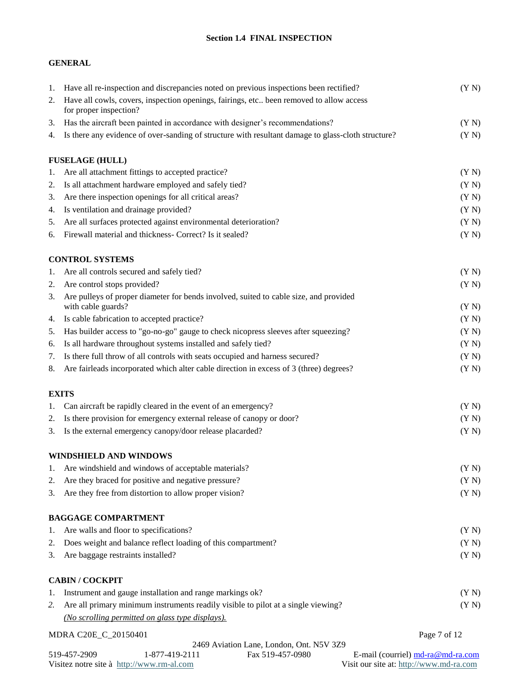## **Section 1.4 FINAL INSPECTION**

## **GENERAL**

| 1. | Have all re-inspection and discrepancies noted on previous inspections been rectified?                              | (Y N)        |
|----|---------------------------------------------------------------------------------------------------------------------|--------------|
| 2. | Have all cowls, covers, inspection openings, fairings, etc., been removed to allow access<br>for proper inspection? |              |
| 3. | Has the aircraft been painted in accordance with designer's recommendations?                                        | (Y N)        |
| 4. | Is there any evidence of over-sanding of structure with resultant damage to glass-cloth structure?                  | (Y N)        |
|    | <b>FUSELAGE (HULL)</b>                                                                                              |              |
| 1. | Are all attachment fittings to accepted practice?                                                                   | (Y N)        |
| 2. | Is all attachment hardware employed and safely tied?                                                                | (Y N)        |
| 3. | Are there inspection openings for all critical areas?                                                               | (Y N)        |
| 4. | Is ventilation and drainage provided?                                                                               | (Y N)        |
| 5. | Are all surfaces protected against environmental deterioration?                                                     | (Y N)        |
| 6. | Firewall material and thickness- Correct? Is it sealed?                                                             | (Y N)        |
|    | <b>CONTROL SYSTEMS</b>                                                                                              |              |
| 1. | Are all controls secured and safely tied?                                                                           | (Y N)        |
| 2. | Are control stops provided?                                                                                         | (Y N)        |
| 3. | Are pulleys of proper diameter for bends involved, suited to cable size, and provided<br>with cable guards?         | (Y N)        |
| 4. | Is cable fabrication to accepted practice?                                                                          | (Y N)        |
| 5. | Has builder access to "go-no-go" gauge to check nicopress sleeves after squeezing?                                  | (Y N)        |
| 6. | Is all hardware throughout systems installed and safely tied?                                                       | (Y N)        |
| 7. | Is there full throw of all controls with seats occupied and harness secured?                                        | (Y N)        |
| 8. | Are fairleads incorporated which alter cable direction in excess of 3 (three) degrees?                              | (Y N)        |
|    | <b>EXITS</b>                                                                                                        |              |
| 1. | Can aircraft be rapidly cleared in the event of an emergency?                                                       | (Y N)        |
| 2. | Is there provision for emergency external release of canopy or door?                                                | (Y N)        |
| 3. | Is the external emergency canopy/door release placarded?                                                            | (Y N)        |
|    | <b>WINDSHIELD AND WINDOWS</b>                                                                                       |              |
| 1. | Are windshield and windows of acceptable materials?                                                                 | (Y N)        |
| 2. | Are they braced for positive and negative pressure?                                                                 | (Y N)        |
| 3. | Are they free from distortion to allow proper vision?                                                               | (Y N)        |
|    | <b>BAGGAGE COMPARTMENT</b>                                                                                          |              |
| 1. | Are walls and floor to specifications?                                                                              | (Y N)        |
| 2. | Does weight and balance reflect loading of this compartment?                                                        | (Y N)        |
| 3. | Are baggage restraints installed?                                                                                   | (Y N)        |
|    | <b>CABIN / COCKPIT</b>                                                                                              |              |
| 1. | Instrument and gauge installation and range markings ok?                                                            | (Y N)        |
| 2. | Are all primary minimum instruments readily visible to pilot at a single viewing?                                   | (Y N)        |
|    | (No scrolling permitted on glass type displays).                                                                    |              |
|    | MDRA C20E_C_20150401                                                                                                | Page 7 of 12 |
|    | 2469 Aviation Lane, London, Ont. N5V 3Z9                                                                            |              |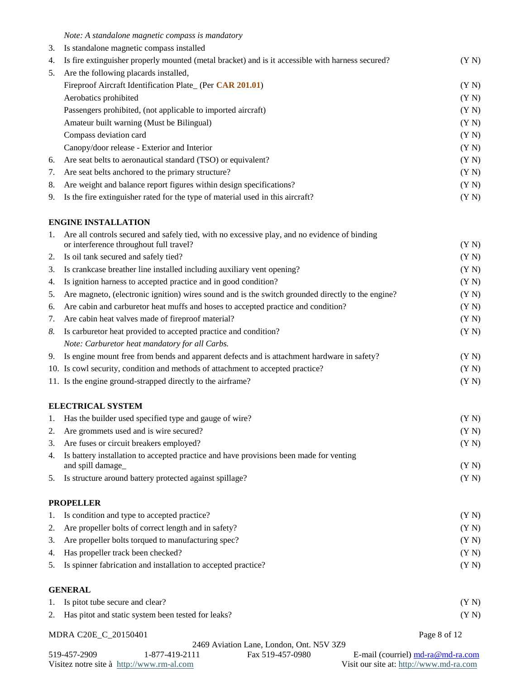*Note: A standalone magnetic compass is mandatory* 

- 3. Is standalone magnetic compass installed
- 4. Is fire extinguisher properly mounted (metal bracket) and is it accessible with harness secured? (Y N)

| 5. | Are the following placards installed,                                          |      |
|----|--------------------------------------------------------------------------------|------|
|    | Fireproof Aircraft Identification Plate (Per CAR 201.01)                       | (YN) |
|    | Aerobatics prohibited                                                          | (YN) |
|    | Passengers prohibited, (not applicable to imported aircraft)                   | (YN) |
|    | Amateur built warning (Must be Bilingual)                                      | (YN) |
|    | Compass deviation card                                                         | (YN) |
|    | Canopy/door release - Exterior and Interior                                    | (YN) |
|    | 6. Are seat belts to aeronautical standard (TSO) or equivalent?                | (YN) |
|    | 7. Are seat belts anchored to the primary structure?                           | (YN) |
|    | 8. Are weight and balance report figures within design specifications?         | (YN) |
| 9. | Is the fire extinguisher rated for the type of material used in this aircraft? | (YN) |

### **ENGINE INSTALLATION**

| 1. | Are all controls secured and safely tied, with no excessive play, and no evidence of binding<br>or interference throughout full travel? | (Y N)        |
|----|-----------------------------------------------------------------------------------------------------------------------------------------|--------------|
| 2. | Is oil tank secured and safely tied?                                                                                                    | (Y N)        |
| 3. | Is crankcase breather line installed including auxiliary vent opening?                                                                  | (Y N)        |
| 4. | Is ignition harness to accepted practice and in good condition?                                                                         | (Y N)        |
| 5. | Are magneto, (electronic ignition) wires sound and is the switch grounded directly to the engine?                                       | (Y N)        |
| 6. | Are cabin and carburetor heat muffs and hoses to accepted practice and condition?                                                       | (Y N)        |
| 7. | Are cabin heat valves made of fireproof material?                                                                                       | (Y N)        |
| 8. | Is carburetor heat provided to accepted practice and condition?                                                                         | (Y N)        |
|    | Note: Carburetor heat mandatory for all Carbs.                                                                                          |              |
| 9. | Is engine mount free from bends and apparent defects and is attachment hardware in safety?                                              | (Y N)        |
|    | 10. Is cowl security, condition and methods of attachment to accepted practice?                                                         | (Y N)        |
|    | 11. Is the engine ground-strapped directly to the airframe?                                                                             | (Y N)        |
|    | <b>ELECTRICAL SYSTEM</b>                                                                                                                |              |
| 1. | Has the builder used specified type and gauge of wire?                                                                                  | (Y N)        |
| 2. | Are grommets used and is wire secured?                                                                                                  | (Y N)        |
| 3. | Are fuses or circuit breakers employed?                                                                                                 | (Y N)        |
| 4. | Is battery installation to accepted practice and have provisions been made for venting<br>and spill damage_                             | (Y N)        |
| 5. | Is structure around battery protected against spillage?                                                                                 | (Y N)        |
|    | <b>PROPELLER</b>                                                                                                                        |              |
| 1. | Is condition and type to accepted practice?                                                                                             | (Y N)        |
| 2. | Are propeller bolts of correct length and in safety?                                                                                    | (Y N)        |
| 3. | Are propeller bolts torqued to manufacturing spec?                                                                                      | (Y N)        |
| 4. | Has propeller track been checked?                                                                                                       | (Y N)        |
| 5. | Is spinner fabrication and installation to accepted practice?                                                                           | (Y N)        |
|    | <b>GENERAL</b>                                                                                                                          |              |
| 1. | Is pitot tube secure and clear?                                                                                                         | (Y N)        |
| 2. | Has pitot and static system been tested for leaks?                                                                                      | (Y N)        |
|    | MDRA C20E_C_20150401                                                                                                                    | Page 8 of 12 |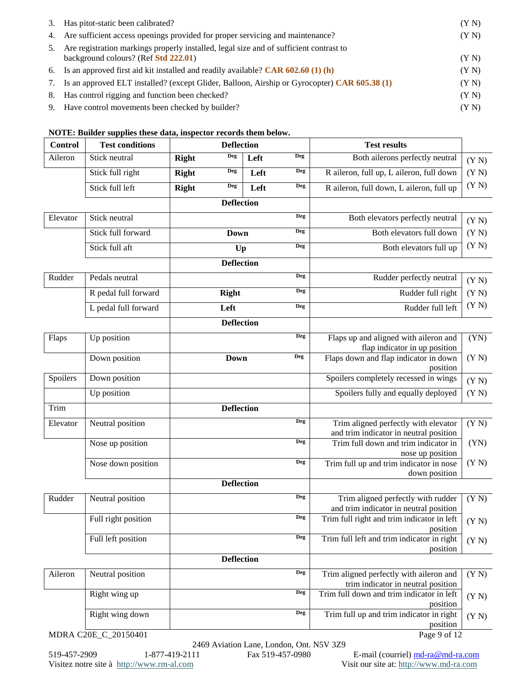|    | 3. Has pitot-static been calibrated?                                                                                           | (YN) |
|----|--------------------------------------------------------------------------------------------------------------------------------|------|
|    | 4. Are sufficient access openings provided for proper servicing and maintenance?                                               | (YN) |
| 5. | Are registration markings properly installed, legal size and of sufficient contrast to<br>background colours? (Ref Std 222.01) | (YN) |
|    | 6. Is an approved first aid kit installed and readily available? <b>CAR 602.60</b> (1) (h)                                     | (YN) |
|    | 7. Is an approved ELT installed? (except Glider, Balloon, Airship or Gyrocopter) CAR 605.38 (1)                                | (YN) |
|    | 8. Has control rigging and function been checked?                                                                              | (YN) |
|    | 9. Have control movements been checked by builder?                                                                             | (YN) |

## **NOTE: Builder supplies these data, inspector records them below.**

| <b>Control</b> | <b>Test conditions</b> |              | <b>Deflection</b> |      |            | <b>Test results</b>                                                            |       |
|----------------|------------------------|--------------|-------------------|------|------------|--------------------------------------------------------------------------------|-------|
| Aileron        | Stick neutral          | <b>Right</b> | <b>Deg</b>        | Left | <b>Deg</b> | Both ailerons perfectly neutral                                                | (Y N) |
|                | Stick full right       | <b>Right</b> | <b>Deg</b>        | Left | Deg        | R aileron, full up, L aileron, full down                                       | (Y N) |
|                | Stick full left        | <b>Right</b> | <b>Deg</b>        | Left | <b>Deg</b> | R aileron, full down, L aileron, full up                                       | (Y N) |
|                |                        |              | <b>Deflection</b> |      |            |                                                                                |       |
| Elevator       | Stick neutral          |              |                   |      | Deg        | Both elevators perfectly neutral                                               | (Y N) |
|                | Stick full forward     |              | <b>Down</b>       |      | <b>Deg</b> | Both elevators full down                                                       | (Y N) |
|                | Stick full aft         |              | Up                |      | <b>Deg</b> | Both elevators full up                                                         | (Y N) |
|                |                        |              | <b>Deflection</b> |      |            |                                                                                |       |
| Rudder         | Pedals neutral         |              |                   |      | <b>Deg</b> | Rudder perfectly neutral                                                       | (Y N) |
|                | R pedal full forward   |              | <b>Right</b>      |      | <b>Deg</b> | Rudder full right                                                              | (Y N) |
|                | L pedal full forward   |              | Left              |      | <b>Deg</b> | Rudder full left                                                               | (Y N) |
|                |                        |              | <b>Deflection</b> |      |            |                                                                                |       |
| Flaps          | Up position            |              |                   |      | <b>Deg</b> | Flaps up and aligned with aileron and<br>flap indicator in up position         | (YN)  |
|                | Down position          |              | <b>Down</b>       |      | <b>Deg</b> | Flaps down and flap indicator in down<br>position                              | (Y N) |
| Spoilers       | Down position          |              |                   |      |            | Spoilers completely recessed in wings                                          | (Y N) |
|                | Up position            |              |                   |      |            | Spoilers fully and equally deployed                                            | (Y N) |
| Trim           |                        |              | <b>Deflection</b> |      |            |                                                                                |       |
| Elevator       | Neutral position       |              |                   |      | Deg        | Trim aligned perfectly with elevator                                           | (Y N) |
|                | Nose up position       |              |                   |      | Deg        | and trim indicator in neutral position<br>Trim full down and trim indicator in | (YN)  |
|                |                        |              |                   |      |            | nose up position                                                               |       |
|                | Nose down position     |              |                   |      | <b>Deg</b> | Trim full up and trim indicator in nose                                        | (Y N) |
|                |                        |              | <b>Deflection</b> |      |            | down position                                                                  |       |
| Rudder         | Neutral position       |              |                   |      | <b>Deg</b> | Trim aligned perfectly with rudder                                             | (Y N) |
|                |                        |              |                   |      |            | and trim indicator in neutral position                                         |       |
|                | Full right position    |              |                   |      | <b>Deg</b> | Trim full right and trim indicator in left<br>position                         | (Y N) |
|                | Full left position     |              |                   |      | <b>Deg</b> | Trim full left and trim indicator in right<br>position                         | (Y N) |
|                |                        |              | <b>Deflection</b> |      |            |                                                                                |       |
| Aileron        | Neutral position       |              |                   |      | <b>Deg</b> | Trim aligned perfectly with aileron and                                        | (Y N) |
|                |                        |              |                   |      | <b>Deg</b> | trim indicator in neutral position                                             |       |
|                | Right wing up          |              |                   |      |            | Trim full down and trim indicator in left<br>position                          | (Y N) |
|                | Right wing down        |              |                   |      | <b>Deg</b> | Trim full up and trim indicator in right                                       | (Y N) |
|                | MDRA C20E_C_20150401   |              |                   |      |            | position<br>Page 9 of 12                                                       |       |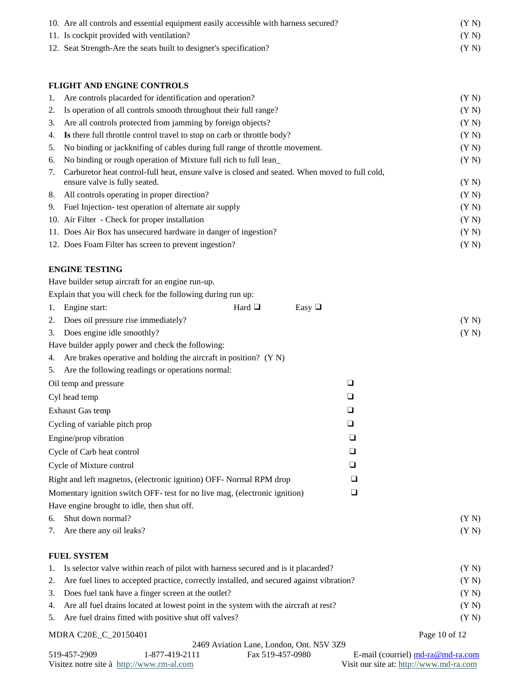| 10. Are all controls and essential equipment easily accessible with harness secured? | (Y N) |
|--------------------------------------------------------------------------------------|-------|
| 11. Is cockpit provided with ventilation?                                            | (YN)  |
| 12. Seat Strength-Are the seats built to designer's specification?                   | (YN)  |

# **FLIGHT AND ENGINE CONTROLS**

| 1. | Are controls placarded for identification and operation?                                       |             | (Y N)         |
|----|------------------------------------------------------------------------------------------------|-------------|---------------|
| 2. | Is operation of all controls smooth throughout their full range?                               |             | (Y N)         |
| 3. | Are all controls protected from jamming by foreign objects?                                    |             | (Y N)         |
| 4. | Is there full throttle control travel to stop on carb or throttle body?                        |             | (Y N)         |
| 5. | No binding or jackknifing of cables during full range of throttle movement.                    |             | (Y N)         |
| 6. | No binding or rough operation of Mixture full rich to full lean_                               |             | (Y N)         |
| 7. | Carburetor heat control-full heat, ensure valve is closed and seated. When moved to full cold, |             |               |
|    | ensure valve is fully seated.                                                                  |             | (Y N)         |
| 8. | All controls operating in proper direction?                                                    |             | (Y N)         |
| 9. | Fuel Injection- test operation of alternate air supply                                         |             | (Y N)         |
|    | 10. Air Filter - Check for proper installation                                                 |             | (Y N)         |
|    | 11. Does Air Box has unsecured hardware in danger of ingestion?                                |             | (Y N)         |
|    | 12. Does Foam Filter has screen to prevent ingestion?                                          |             | (Y N)         |
|    | <b>ENGINE TESTING</b>                                                                          |             |               |
|    | Have builder setup aircraft for an engine run-up.                                              |             |               |
|    | Explain that you will check for the following during run up:                                   |             |               |
| 1. | Hard $\Box$<br>Engine start:                                                                   | Easy $\Box$ |               |
| 2. | Does oil pressure rise immediately?                                                            |             | (Y N)         |
| 3. | Does engine idle smoothly?                                                                     |             | (Y N)         |
|    | Have builder apply power and check the following:                                              |             |               |
| 4. | Are brakes operative and holding the aircraft in position? (Y N)                               |             |               |
| 5. | Are the following readings or operations normal:                                               |             |               |
|    | Oil temp and pressure                                                                          | ❏           |               |
|    | Cyl head temp                                                                                  | $\Box$      |               |
|    | Exhaust Gas temp                                                                               | $\Box$      |               |
|    | Cycling of variable pitch prop                                                                 | ❏           |               |
|    | Engine/prop vibration                                                                          | $\Box$      |               |
|    | Cycle of Carb heat control                                                                     | $\Box$      |               |
|    | Cycle of Mixture control                                                                       | $\Box$      |               |
|    |                                                                                                |             |               |
|    | Right and left magnetos, (electronic ignition) OFF- Normal RPM drop                            |             |               |
|    | Momentary ignition switch OFF- test for no live mag, (electronic ignition)                     | ⊔           |               |
|    | Have engine brought to idle, then shut off.                                                    |             |               |
| 6. | Shut down normal?                                                                              |             | (Y N)         |
| 7. | Are there any oil leaks?                                                                       |             | (Y N)         |
|    | <b>FUEL SYSTEM</b>                                                                             |             |               |
| 1. | Is selector valve within reach of pilot with harness secured and is it placarded?              |             | (Y N)         |
| 2. | Are fuel lines to accepted practice, correctly installed, and secured against vibration?       |             | (Y N)         |
| 3. | Does fuel tank have a finger screen at the outlet?                                             |             | (Y N)         |
| 4. | Are all fuel drains located at lowest point in the system with the aircraft at rest?           |             | (Y N)         |
| 5. | Are fuel drains fitted with positive shut off valves?                                          |             | (Y N)         |
|    | MDRA C20E_C_20150401                                                                           |             | Page 10 of 12 |
|    | 2469 Aviation Lane, London, Ont. N5V 3Z9                                                       |             |               |

| 519-457-2909 | 1-877-419-2111                                     | Fax 519-457-0980 | E-mail (courriel) md-ra@md-ra.com       |
|--------------|----------------------------------------------------|------------------|-----------------------------------------|
|              | Visitez notre site à $\frac{htp}{w}$ www.rm-al.com |                  | Visit our site at: http://www.md-ra.com |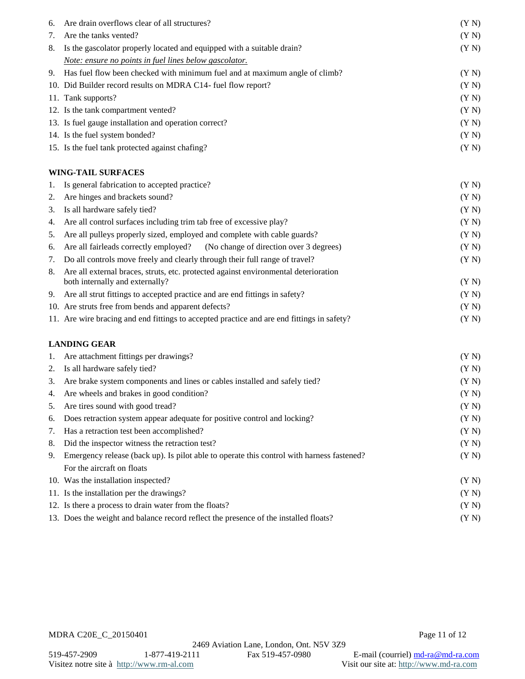| 6. | Are drain overflows clear of all structures?                                               | (Y N)          |
|----|--------------------------------------------------------------------------------------------|----------------|
| 7. | Are the tanks vented?                                                                      | (Y N)          |
| 8. | Is the gascolator properly located and equipped with a suitable drain?                     | (Y N)          |
|    | Note: ensure no points in fuel lines below gascolator.                                     |                |
| 9. | Has fuel flow been checked with minimum fuel and at maximum angle of climb?                |                |
|    | 10. Did Builder record results on MDRA C14- fuel flow report?                              | (Y N)          |
|    | 11. Tank supports?                                                                         | (Y N)          |
|    | 12. Is the tank compartment vented?                                                        | (Y N)<br>(Y N) |
|    |                                                                                            |                |
|    | 13. Is fuel gauge installation and operation correct?                                      | (Y N)          |
|    | 14. Is the fuel system bonded?                                                             | (Y N)          |
|    | 15. Is the fuel tank protected against chafing?                                            | (Y N)          |
|    | <b>WING-TAIL SURFACES</b>                                                                  |                |
| 1. | Is general fabrication to accepted practice?                                               | (Y N)          |
| 2. | Are hinges and brackets sound?                                                             | (Y N)          |
| 3. | Is all hardware safely tied?                                                               | (Y N)          |
| 4. | Are all control surfaces including trim tab free of excessive play?                        | (Y N)          |
| 5. | Are all pulleys properly sized, employed and complete with cable guards?                   | (Y N)          |
| 6. | Are all fairleads correctly employed?<br>(No change of direction over 3 degrees)           | (Y N)          |
| 7. | Do all controls move freely and clearly through their full range of travel?                | (Y N)          |
| 8. | Are all external braces, struts, etc. protected against environmental deterioration        |                |
|    | both internally and externally?                                                            | (Y N)          |
| 9. | Are all strut fittings to accepted practice and are end fittings in safety?                | (Y N)          |
|    | 10. Are struts free from bends and apparent defects?                                       | (Y N)          |
|    | 11. Are wire bracing and end fittings to accepted practice and are end fittings in safety? | (Y N)          |
|    | <b>LANDING GEAR</b>                                                                        |                |
| 1. | Are attachment fittings per drawings?                                                      | (Y N)          |
| 2. | Is all hardware safely tied?                                                               | (Y N)          |
| 3. | Are brake system components and lines or cables installed and safely tied?                 | (Y N)          |
| 4. | Are wheels and brakes in good condition?                                                   | (Y N)          |
| 5. | Are tires sound with good tread?                                                           | (Y N)          |
| 6. | Does retraction system appear adequate for positive control and locking?                   | (Y N)          |
| 7. | Has a retraction test been accomplished?                                                   | (Y N)          |
| 8. | Did the inspector witness the retraction test?                                             | (Y N)          |
| 9. | Emergency release (back up). Is pilot able to operate this control with harness fastened?  | (Y N)          |
|    | For the aircraft on floats                                                                 |                |
|    | 10. Was the installation inspected?                                                        | (Y N)          |
|    | 11. Is the installation per the drawings?                                                  | (Y N)          |
|    | 12. Is there a process to drain water from the floats?                                     | (Y N)          |
|    | 13. Does the weight and balance record reflect the presence of the installed floats?       | (Y N)          |

Visitez notre site à http://www.rm-al.com

519-457-2909 1-877-419-2111 Fax 519-457-0980 E-mail (courriel)  $\frac{md-ra.com}{md-ra.com}$ <br>Visit cur site at:  $\frac{http://www.m-al.com}{mt-ra.com}$